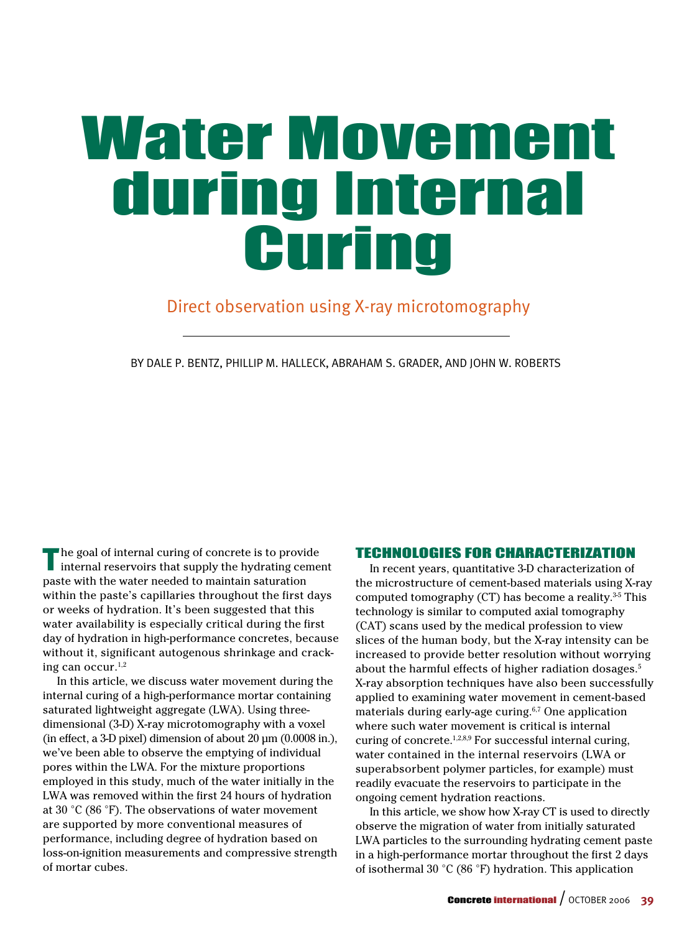# Water Movement during Internal Curing

### Direct observation using X-ray microtomography

BY Dale P. Bentz, Phillip M. Halleck, Abraham S. Grader, and John W. Roberts

The goal of internal curing of concrete is to provide internal reservoirs that supply the hydrating cement paste with the water needed to maintain saturation within the paste's capillaries throughout the first days or weeks of hydration. It's been suggested that this water availability is especially critical during the first day of hydration in high-performance concretes, because without it, significant autogenous shrinkage and cracking can occur. $1,2$ 

In this article, we discuss water movement during the internal curing of a high-performance mortar containing saturated lightweight aggregate (LWA). Using threedimensional (3-D) X-ray microtomography with a voxel (in effect, a 3-D pixel) dimension of about  $20 \mu m$  (0.0008 in.), we've been able to observe the emptying of individual pores within the LWA. For the mixture proportions employed in this study, much of the water initially in the LWA was removed within the first 24 hours of hydration at 30 °C (86 °F). The observations of water movement are supported by more conventional measures of performance, including degree of hydration based on loss-on-ignition measurements and compressive strength of mortar cubes.

#### Technologies for Characterization

In recent years, quantitative 3-D characterization of the microstructure of cement-based materials using X-ray computed tomography (CT) has become a reality. $35$  This technology is similar to computed axial tomography (CAT) scans used by the medical profession to view slices of the human body, but the X-ray intensity can be increased to provide better resolution without worrying about the harmful effects of higher radiation dosages.<sup>5</sup> X-ray absorption techniques have also been successfully applied to examining water movement in cement-based materials during early-age curing. $6,7$  One application where such water movement is critical is internal curing of concrete.<sup>1,2,8,9</sup> For successful internal curing, water contained in the internal reservoirs (LWA or superabsorbent polymer particles, for example) must readily evacuate the reservoirs to participate in the ongoing cement hydration reactions.

In this article, we show how X-ray CT is used to directly observe the migration of water from initially saturated LWA particles to the surrounding hydrating cement paste in a high-performance mortar throughout the first 2 days of isothermal 30 °C (86 °F) hydration. This application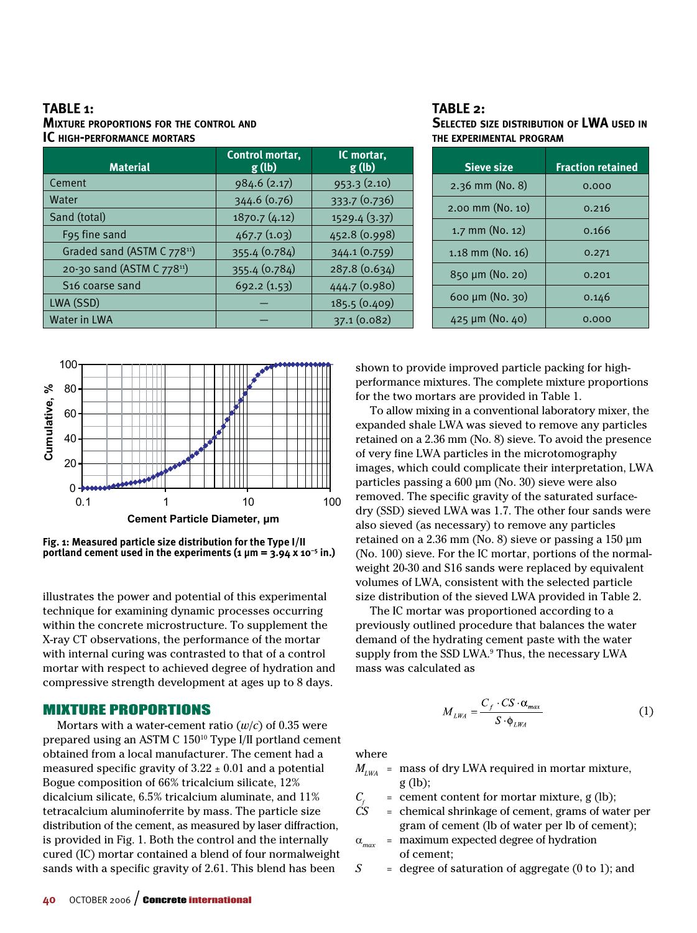**Table 1: Mixture proportions for the control and IC high-performance mortars**

| <b>Material</b>                         | Control mortar,<br>g(h) | IC mortar,<br>g(h) |
|-----------------------------------------|-------------------------|--------------------|
| Cement                                  | 984.6 (2.17)            | 953.3(2.10)        |
| Water                                   | 344.6 (0.76)            | 333.7 (0.736)      |
| Sand (total)                            | 1870.7 (4.12)           | 1529.4 (3.37)      |
| F95 fine sand                           | 467.7(1.03)             | 452.8 (0.998)      |
| Graded sand (ASTM C 778 <sup>11</sup> ) | 355.4 (0.784)           | 344.1 (0.759)      |
| 20-30 sand (ASTM C 77811)               | 355.4 (0.784)           | 287.8 (0.634)      |
| S16 coarse sand                         | 692.2(1.53)             | 444.7 (0.980)      |
| LWA (SSD)                               |                         | 185.5 (0.409)      |
| <b>Water in LWA</b>                     |                         | 37.1 (0.082)       |

#### **Table 2: Selected size distribution of LWA used in the experimental program**

| <b>Sieve size</b>     | <b>Fraction retained</b> |
|-----------------------|--------------------------|
| $2.36$ mm (No. 8)     | 0.000                    |
| $2.00$ mm (No. 10)    | 0.216                    |
| $1.7$ mm (No. 12)     | 0.166                    |
| $1.18$ mm (No. $16$ ) | 0.271                    |
| 850 µm (No. 20)       | 0.201                    |
| 600 $\mu$ m (No. 30)  | 0.146                    |
| $425 \mu m$ (No. 40)  | 0,000                    |



**Fig. 1: Measured particle size distribution for the Type I/II portland cement used in the experiments (1 μm = 3.94 x 10–5 in.)**

illustrates the power and potential of this experimental technique for examining dynamic processes occurring within the concrete microstructure. To supplement the X-ray CT observations, the performance of the mortar with internal curing was contrasted to that of a control mortar with respect to achieved degree of hydration and compressive strength development at ages up to 8 days.

#### Mixture Proportions

Mortars with a water-cement ratio  $(w/c)$  of 0.35 were prepared using an ASTM C 15010 Type I/II portland cement obtained from a local manufacturer. The cement had a measured specific gravity of  $3.22 \pm 0.01$  and a potential Bogue composition of 66% tricalcium silicate, 12% dicalcium silicate, 6.5% tricalcium aluminate, and 11% tetracalcium aluminoferrite by mass. The particle size distribution of the cement, as measured by laser diffraction, is provided in Fig. 1. Both the control and the internally cured (IC) mortar contained a blend of four normalweight sands with a specific gravity of 2.61. This blend has been

shown to provide improved particle packing for highperformance mixtures. The complete mixture proportions for the two mortars are provided in Table 1.

To allow mixing in a conventional laboratory mixer, the expanded shale LWA was sieved to remove any particles retained on a 2.36 mm (No. 8) sieve. To avoid the presence of very fine LWA particles in the microtomography images, which could complicate their interpretation, LWA particles passing a 600 μm (No. 30) sieve were also removed. The specific gravity of the saturated surfacedry (SSD) sieved LWA was 1.7. The other four sands were also sieved (as necessary) to remove any particles retained on a 2.36 mm (No. 8) sieve or passing a 150 μm (No. 100) sieve. For the IC mortar, portions of the normalweight 20-30 and S16 sands were replaced by equivalent volumes of LWA, consistent with the selected particle size distribution of the sieved LWA provided in Table 2.

The IC mortar was proportioned according to a previously outlined procedure that balances the water demand of the hydrating cement paste with the water supply from the SSD LWA.<sup>9</sup> Thus, the necessary LWA mass was calculated as

$$
M_{LWA} = \frac{C_f \cdot CS \cdot \alpha_{max}}{S \cdot \phi_{LWA}} \tag{1}
$$

where

- $M_{LWA}$  = mass of dry LWA required in mortar mixture, g (lb);
- $C_f$  = cement content for mortar mixture, g (lb);<br> $CS$  = chemical shrinkage of cement, grams of wa
- *CS* = chemical shrinkage of cement, grams of water per gram of cement (lb of water per lb of cement);
- $\alpha_{\scriptscriptstyle max}$  = maximum expected degree of hydration of cement;
- *S* = degree of saturation of aggregate (0 to 1); and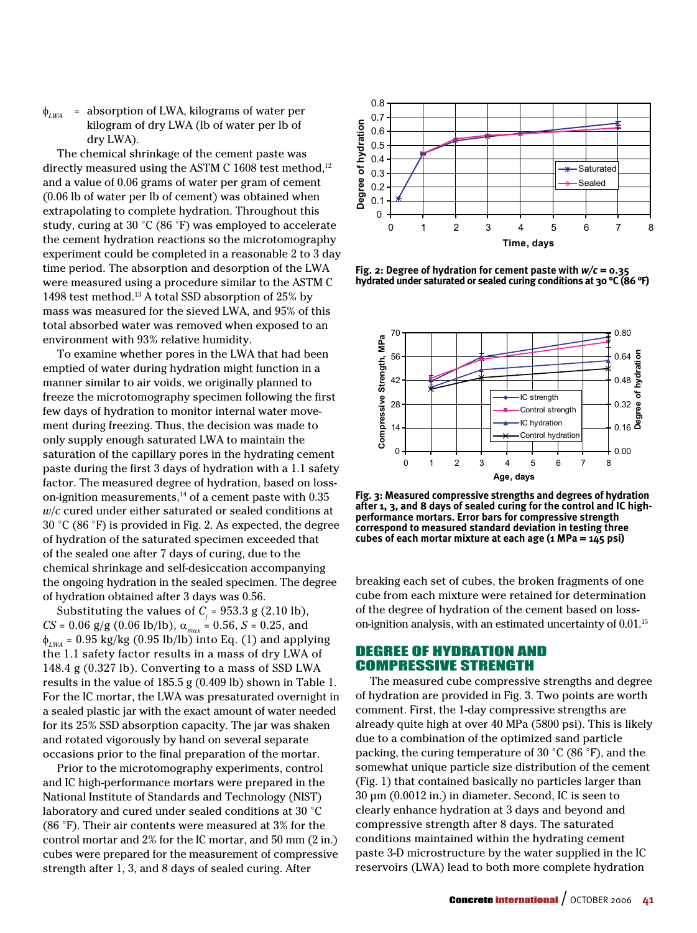$\phi$ <sub>*LWA*</sub> = absorption of LWA, kilograms of water per kilogram of dry LWA (lb of water per lb of dry LWA).

The chemical shrinkage of the cement paste was directly measured using the ASTM C 1608 test method,<sup>12</sup> and a value of 0.06 grams of water per gram of cement (0.06 lb of water per lb of cement) was obtained when extrapolating to complete hydration. Throughout this study, curing at 30 °C (86 °F) was employed to accelerate the cement hydration reactions so the microtomography experiment could be completed in a reasonable 2 to 3 day time period. The absorption and desorption of the LWA were measured using a procedure similar to the ASTM C 1498 test method.13 A total SSD absorption of 25% by mass was measured for the sieved LWA, and 95% of this total absorbed water was removed when exposed to an environment with 93% relative humidity.

To examine whether pores in the LWA that had been emptied of water during hydration might function in a manner similar to air voids, we originally planned to freeze the microtomography specimen following the first few days of hydration to monitor internal water movement during freezing. Thus, the decision was made to only supply enough saturated LWA to maintain the saturation of the capillary pores in the hydrating cement paste during the first 3 days of hydration with a 1.1 safety factor. The measured degree of hydration, based on losson-ignition measurements, $14$  of a cement paste with 0.35 *w*/*c* cured under either saturated or sealed conditions at 30 °C (86 °F) is provided in Fig. 2. As expected, the degree of hydration of the saturated specimen exceeded that of the sealed one after 7 days of curing, due to the chemical shrinkage and self-desiccation accompanying the ongoing hydration in the sealed specimen. The degree of hydration obtained after 3 days was 0.56.

Substituting the values of  $C_f$  = 953.3 g (2.10 lb), *CS* = 0.06 g/g (0.06 lb/lb), a*max* = 0.56, *S* = 0.25, and φ*LWA* = 0.95 kg/kg (0.95 lb/lb) into Eq. (1) and applying the 1.1 safety factor results in a mass of dry LWA of 148.4 g (0.327 lb). Converting to a mass of SSD LWA results in the value of 185.5 g (0.409 lb) shown in Table 1. For the IC mortar, the LWA was presaturated overnight in a sealed plastic jar with the exact amount of water needed for its 25% SSD absorption capacity. The jar was shaken and rotated vigorously by hand on several separate occasions prior to the final preparation of the mortar.

Prior to the microtomography experiments, control and IC high-performance mortars were prepared in the National Institute of Standards and Technology (NIST) laboratory and cured under sealed conditions at 30 °C (86 °F). Their air contents were measured at 3% for the control mortar and 2% for the IC mortar, and 50 mm (2 in.) cubes were prepared for the measurement of compressive strength after 1, 3, and 8 days of sealed curing. After



**Fig. 2: Degree of hydration for cement paste with** *w/c* **= 0.35 hydrated under saturated or sealed curing conditions at 30 °C (86 °F)**



**Fig. 3: Measured compressive strengths and degrees of hydration after 1, 3, and 8 days of sealed curing for the control and IC highperformance mortars. Error bars for compressive strength correspond to measured standard deviation in testing three cubes of each mortar mixture at each age (1 MPa = 145 psi)**

breaking each set of cubes, the broken fragments of one cube from each mixture were retained for determination of the degree of hydration of the cement based on losson-ignition analysis, with an estimated uncertainty of 0.01.<sup>15</sup>

#### Degree of Hydration and Compressive Strength

The measured cube compressive strengths and degree of hydration are provided in Fig. 3. Two points are worth comment. First, the 1-day compressive strengths are already quite high at over 40 MPa (5800 psi). This is likely due to a combination of the optimized sand particle packing, the curing temperature of 30 °C (86 °F), and the somewhat unique particle size distribution of the cement (Fig. 1) that contained basically no particles larger than 30 μm (0.0012 in.) in diameter. Second, IC is seen to clearly enhance hydration at 3 days and beyond and compressive strength after 8 days. The saturated conditions maintained within the hydrating cement paste 3-D microstructure by the water supplied in the IC reservoirs (LWA) lead to both more complete hydration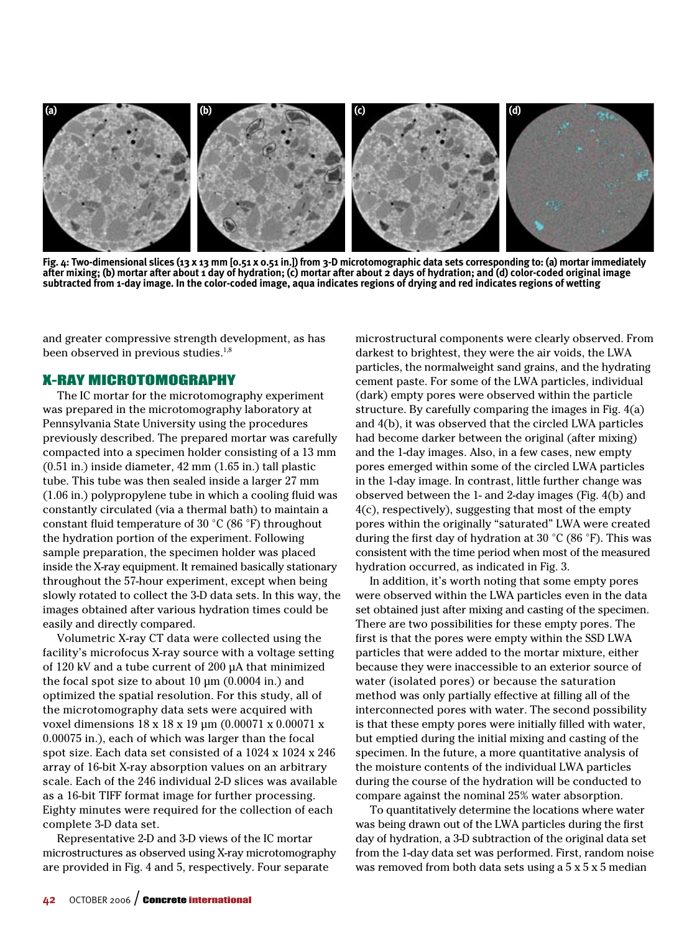

**Fig. 4: Two-dimensional slices (13 x 13 mm [0.51 x 0.51 in.]) from 3-D microtomographic data sets corresponding to: (a) mortar immediately after mixing; (b) mortar after about 1 day of hydration; (c) mortar after about 2 days of hydration; and (d) color-coded original image subtracted from 1-day image. In the color-coded image, aqua indicates regions of drying and red indicates regions of wetting**

and greater compressive strength development, as has been observed in previous studies.<sup>1,8</sup>

#### X-ray Microtomography

The IC mortar for the microtomography experiment was prepared in the microtomography laboratory at Pennsylvania State University using the procedures previously described. The prepared mortar was carefully compacted into a specimen holder consisting of a 13 mm (0.51 in.) inside diameter, 42 mm (1.65 in.) tall plastic tube. This tube was then sealed inside a larger 27 mm (1.06 in.) polypropylene tube in which a cooling fluid was constantly circulated (via a thermal bath) to maintain a constant fluid temperature of 30 °C (86 °F) throughout the hydration portion of the experiment. Following sample preparation, the specimen holder was placed inside the X-ray equipment. It remained basically stationary throughout the 57-hour experiment, except when being slowly rotated to collect the 3-D data sets. In this way, the images obtained after various hydration times could be easily and directly compared.

Volumetric X-ray CT data were collected using the facility's microfocus X-ray source with a voltage setting of 120 kV and a tube current of 200 μA that minimized the focal spot size to about 10 μm (0.0004 in.) and optimized the spatial resolution. For this study, all of the microtomography data sets were acquired with voxel dimensions 18 x 18 x 19 μm (0.00071 x 0.00071 x 0.00075 in.), each of which was larger than the focal spot size. Each data set consisted of a 1024 x 1024 x 246 array of 16-bit X-ray absorption values on an arbitrary scale. Each of the 246 individual 2-D slices was available as a 16-bit TIFF format image for further processing. Eighty minutes were required for the collection of each complete 3-D data set.

Representative 2-D and 3-D views of the IC mortar microstructures as observed using X-ray microtomography are provided in Fig. 4 and 5, respectively. Four separate

microstructural components were clearly observed. From darkest to brightest, they were the air voids, the LWA particles, the normalweight sand grains, and the hydrating cement paste. For some of the LWA particles, individual (dark) empty pores were observed within the particle structure. By carefully comparing the images in Fig. 4(a) and 4(b), it was observed that the circled LWA particles had become darker between the original (after mixing) and the 1-day images. Also, in a few cases, new empty pores emerged within some of the circled LWA particles in the 1-day image. In contrast, little further change was observed between the 1- and 2-day images (Fig. 4(b) and 4(c), respectively), suggesting that most of the empty pores within the originally "saturated" LWA were created during the first day of hydration at 30 °C (86 °F). This was consistent with the time period when most of the measured hydration occurred, as indicated in Fig. 3.

In addition, it's worth noting that some empty pores were observed within the LWA particles even in the data set obtained just after mixing and casting of the specimen. There are two possibilities for these empty pores. The first is that the pores were empty within the SSD LWA particles that were added to the mortar mixture, either because they were inaccessible to an exterior source of water (isolated pores) or because the saturation method was only partially effective at filling all of the interconnected pores with water. The second possibility is that these empty pores were initially filled with water, but emptied during the initial mixing and casting of the specimen. In the future, a more quantitative analysis of the moisture contents of the individual LWA particles during the course of the hydration will be conducted to compare against the nominal 25% water absorption.

To quantitatively determine the locations where water was being drawn out of the LWA particles during the first day of hydration, a 3-D subtraction of the original data set from the 1-day data set was performed. First, random noise was removed from both data sets using a  $5 \times 5 \times 5$  median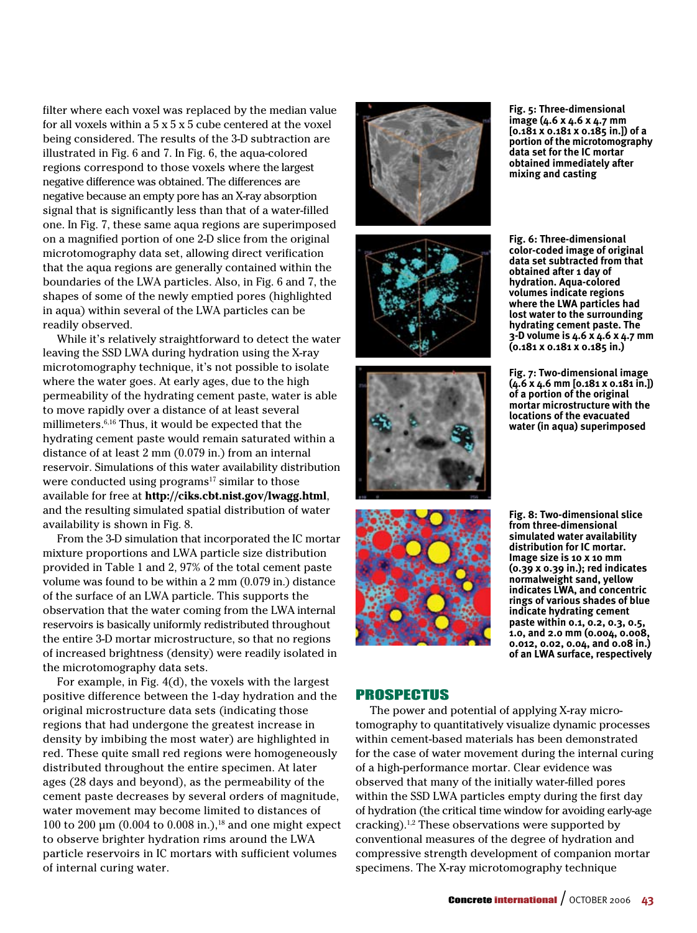filter where each voxel was replaced by the median value for all voxels within a  $5 \times 5 \times 5$  cube centered at the voxel being considered. The results of the 3-D subtraction are illustrated in Fig. 6 and 7. In Fig. 6, the aqua-colored regions correspond to those voxels where the largest negative difference was obtained. The differences are negative because an empty pore has an X-ray absorption signal that is significantly less than that of a water-filled one. In Fig. 7, these same aqua regions are superimposed on a magnified portion of one 2-D slice from the original microtomography data set, allowing direct verification that the aqua regions are generally contained within the boundaries of the LWA particles. Also, in Fig. 6 and 7, the shapes of some of the newly emptied pores (highlighted in aqua) within several of the LWA particles can be readily observed.

While it's relatively straightforward to detect the water leaving the SSD LWA during hydration using the X-ray microtomography technique, it's not possible to isolate where the water goes. At early ages, due to the high permeability of the hydrating cement paste, water is able to move rapidly over a distance of at least several millimeters.6,16 Thus, it would be expected that the hydrating cement paste would remain saturated within a distance of at least 2 mm (0.079 in.) from an internal reservoir. Simulations of this water availability distribution were conducted using programs $17$  similar to those available for free at **http://ciks.cbt.nist.gov/lwagg.html**, and the resulting simulated spatial distribution of water availability is shown in Fig. 8.

From the 3-D simulation that incorporated the IC mortar mixture proportions and LWA particle size distribution provided in Table 1 and 2, 97% of the total cement paste volume was found to be within a 2 mm (0.079 in.) distance of the surface of an LWA particle. This supports the observation that the water coming from the LWA internal reservoirs is basically uniformly redistributed throughout the entire 3-D mortar microstructure, so that no regions of increased brightness (density) were readily isolated in the microtomography data sets.

For example, in Fig. 4(d), the voxels with the largest positive difference between the 1-day hydration and the original microstructure data sets (indicating those regions that had undergone the greatest increase in density by imbibing the most water) are highlighted in red. These quite small red regions were homogeneously distributed throughout the entire specimen. At later ages (28 days and beyond), as the permeability of the cement paste decreases by several orders of magnitude, water movement may become limited to distances of 100 to 200 μm (0.004 to 0.008 in.),<sup>18</sup> and one might expect to observe brighter hydration rims around the LWA particle reservoirs in IC mortars with sufficient volumes of internal curing water.









**Fig. 5: Three-dimensional image (4.6 x 4.6 x 4.7 mm [0.181 x 0.181 x 0.185 in.]) of a portion of the microtomography data set for the IC mortar obtained immediately after mixing and casting**

**Fig. 6: Three-dimensional color-coded image of original data set subtracted from that obtained after 1 day of hydration. Aqua-colored volumes indicate regions where the LWA particles had lost water to the surrounding hydrating cement paste. The 3-D volume is 4.6 x 4.6 x 4.7 mm (0.181 x 0.181 x 0.185 in.)**

**Fig. 7: Two-dimensional image (4.6 x 4.6 mm [0.181 x 0.181 in.]) of a portion of the original mortar microstructure with the locations of the evacuated water (in aqua) superimposed**

**Fig. 8: Two-dimensional slice from three-dimensional simulated water availability distribution for IC mortar. Image size is 10 x 10 mm (0.39 x 0.39 in.); red indicates normalweight sand, yellow indicates LWA, and concentric rings of various shades of blue indicate hydrating cement paste within 0.1, 0.2, 0.3, 0.5, 1.0, and 2.0 mm (0.004, 0.008, 0.012, 0.02, 0.04, and 0.08 in.) of an LWA surface, respectively**

#### Prospectus

The power and potential of applying X-ray microtomography to quantitatively visualize dynamic processes within cement-based materials has been demonstrated for the case of water movement during the internal curing of a high-performance mortar. Clear evidence was observed that many of the initially water-filled pores within the SSD LWA particles empty during the first day of hydration (the critical time window for avoiding early-age cracking).<sup>1,2</sup> These observations were supported by conventional measures of the degree of hydration and compressive strength development of companion mortar specimens. The X-ray microtomography technique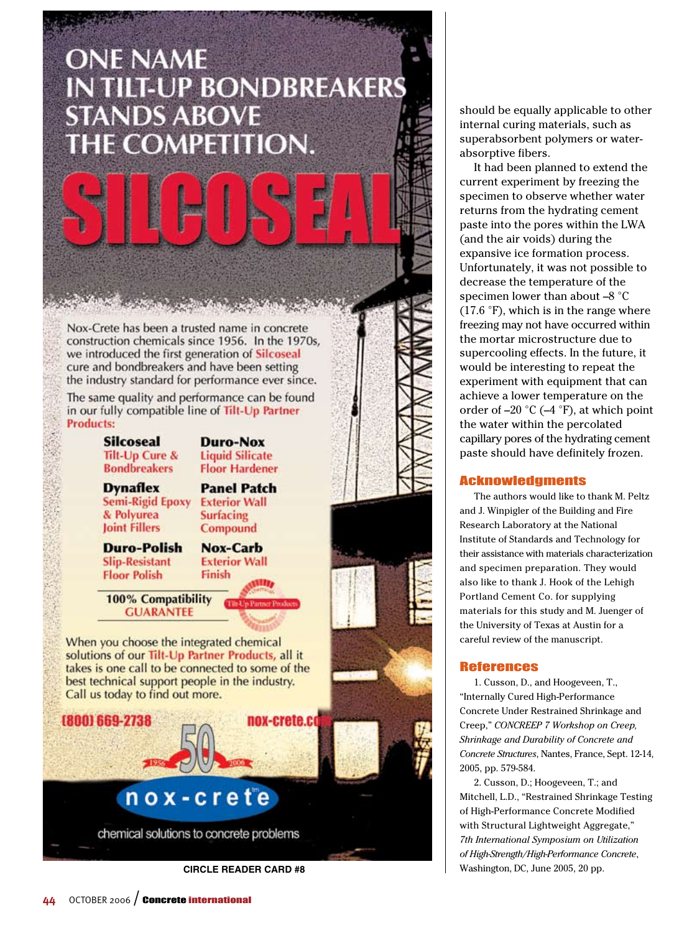## **ONE NAME IN TILT-UP BONDBREAKERS STANDS ABOVE** THE COMPETITION.

Nox-Crete has been a trusted name in concrete construction chemicals since 1956. In the 1970s, we introduced the first generation of Silcoseal cure and bondbreakers and have been setting the industry standard for performance ever since.

The same quality and performance can be found in our fully compatible line of Tilt-Up Partner **Products:** 

> **Silcoseal Tilt-Up Cure & Bondbreakers**

**Duro-Nox Liquid Silicate Floor Hardener** 

**Dynaflex** Semi-Rigid Epoxy & Polyurea **Joint Fillers** 

**Panel Patch Exterior Wall Surfacing** Compound

**Duro-Polish Slip-Resistant Floor Polish** 

**Nox-Carb Exterior Wall** Finish

100% Compatibility **GUARANTEE** 

When you choose the integrated chemical solutions of our Tilt-Up Partner Products, all it takes is one call to be connected to some of the best technical support people in the industry. Call us today to find out more.



should be equally applicable to other internal curing materials, such as superabsorbent polymers or waterabsorptive fibers.

It had been planned to extend the current experiment by freezing the specimen to observe whether water returns from the hydrating cement paste into the pores within the LWA (and the air voids) during the expansive ice formation process. Unfortunately, it was not possible to decrease the temperature of the specimen lower than about  $-8$  °C  $(17.6 \text{ }^{\circ}\text{F})$ , which is in the range where freezing may not have occurred within the mortar microstructure due to supercooling effects. In the future, it would be interesting to repeat the experiment with equipment that can achieve a lower temperature on the order of  $-20$  °C ( $-4$  °F), at which point the water within the percolated capillary pores of the hydrating cement paste should have definitely frozen.

#### Acknowledgments

The authors would like to thank M. Peltz and J. Winpigler of the Building and Fire Research Laboratory at the National Institute of Standards and Technology for their assistance with materials characterization and specimen preparation. They would also like to thank J. Hook of the Lehigh Portland Cement Co. for supplying materials for this study and M. Juenger of the University of Texas at Austin for a careful review of the manuscript.

#### References

1. Cusson, D., and Hoogeveen, T., "Internally Cured High-Performance Concrete Under Restrained Shrinkage and Creep," *CONCREEP 7 Workshop on Creep, Shrinkage and Durability of Concrete and Concrete Structures*, Nantes, France, Sept. 12-14, 2005, pp. 579-584.

2. Cusson, D.; Hoogeveen, T.; and Mitchell, L.D., "Restrained Shrinkage Testing of High-Performance Concrete Modified with Structural Lightweight Aggregate," *7th International Symposium on Utilization of High-Strength/High-Performance Concrete*, **CIRCLE READER CARD #8** Washington, DC, June 2005, 20 pp.